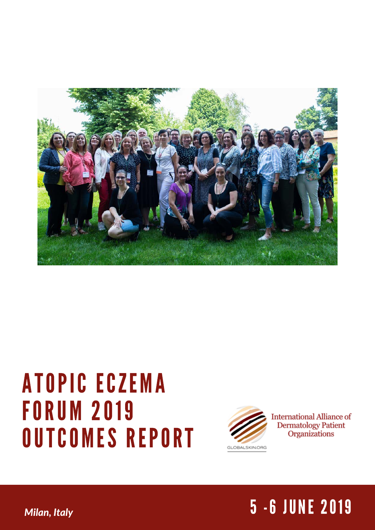

# ATOPIC ECZEMA **FORUM 2019** OUTCOMES REPORT



**International Alliance of Dermatology Patient** Organizations

## *Milan, Italy* 7 - 2019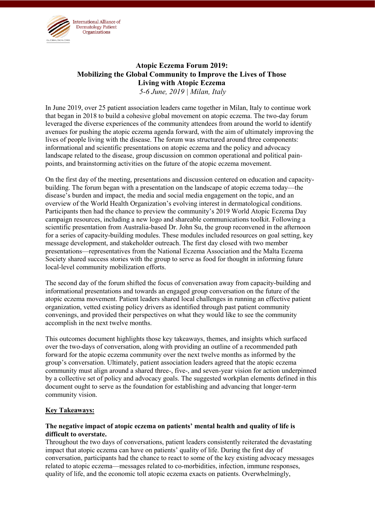

#### **Atopic Eczema Forum 2019: Mobilizing the Global Community to Improve the Lives of Those Living with Atopic Eczema** *5-6 June, 2019 | Milan, Italy*

In June 2019, over 25 patient association leaders came together in Milan, Italy to continue work that began in 2018 to build a cohesive global movement on atopic eczema. The two-day forum leveraged the diverse experiences of the community attendees from around the world to identify avenues for pushing the atopic eczema agenda forward, with the aim of ultimately improving the lives of people living with the disease. The forum was structured around three components: informational and scientific presentations on atopic eczema and the policy and advocacy landscape related to the disease, group discussion on common operational and political painpoints, and brainstorming activities on the future of the atopic eczema movement.

On the first day of the meeting, presentations and discussion centered on education and capacitybuilding. The forum began with a presentation on the landscape of atopic eczema today—the disease's burden and impact, the media and social media engagement on the topic, and an overview of the World Health Organization's evolving interest in dermatological conditions. Participants then had the chance to preview the community's 2019 World Atopic Eczema Day campaign resources, including a new logo and shareable communications toolkit. Following a scientific presentation from Australia-based Dr. John Su, the group reconvened in the afternoon for a series of capacity-building modules. These modules included resources on goal setting, key message development, and stakeholder outreach. The first day closed with two member presentations—representatives from the National Eczema Association and the Malta Eczema Society shared success stories with the group to serve as food for thought in informing future local-level community mobilization efforts.

The second day of the forum shifted the focus of conversation away from capacity-building and informational presentations and towards an engaged group conversation on the future of the atopic eczema movement. Patient leaders shared local challenges in running an effective patient organization, vetted existing policy drivers as identified through past patient community convenings, and provided their perspectives on what they would like to see the community accomplish in the next twelve months.

This outcomes document highlights those key takeaways, themes, and insights which surfaced over the two-days of conversation, along with providing an outline of a recommended path forward for the atopic eczema community over the next twelve months as informed by the group's conversation. Ultimately, patient association leaders agreed that the atopic eczema community must align around a shared three-, five-, and seven-year vision for action underpinned by a collective set of policy and advocacy goals. The suggested workplan elements defined in this document ought to serve as the foundation for establishing and advancing that longer-term community vision.

#### **Key Takeaways:**

#### **The negative impact of atopic eczema on patients' mental health and quality of life is difficult to overstate.**

Throughout the two days of conversations, patient leaders consistently reiterated the devastating impact that atopic eczema can have on patients' quality of life. During the first day of conversation, participants had the chance to react to some of the key existing advocacy messages related to atopic eczema—messages related to co-morbidities, infection, immune responses, quality of life, and the economic toll atopic eczema exacts on patients. Overwhelmingly,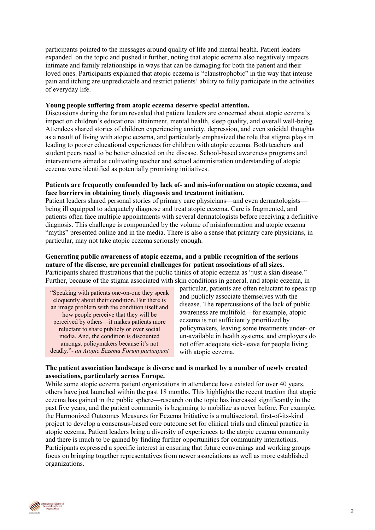participants pointed to the messages around quality of life and mental health. Patient leaders expanded on the topic and pushed it further, noting that atopic eczema also negatively impacts intimate and family relationships in ways that can be damaging for both the patient and their loved ones. Participants explained that atopic eczema is "claustrophobic" in the way that intense pain and itching are unpredictable and restrict patients' ability to fully participate in the activities of everyday life.

#### **Young people suffering from atopic eczema deserve special attention.**

Discussions during the forum revealed that patient leaders are concerned about atopic eczema's impact on children's educational attainment, mental health, sleep quality, and overall well-being. Attendees shared stories of children experiencing anxiety, depression, and even suicidal thoughts as a result of living with atopic eczema, and particularly emphasized the role that stigma plays in leading to poorer educational experiences for children with atopic eczema. Both teachers and student peers need to be better educated on the disease. School-based awareness programs and interventions aimed at cultivating teacher and school administration understanding of atopic eczema were identified as potentially promising initiatives.

#### **Patients are frequently confounded by lack of- and mis-information on atopic eczema, and face barriers in obtaining timely diagnosis and treatment initiation.**

Patient leaders shared personal stories of primary care physicians—and even dermatologists being ill equipped to adequately diagnose and treat atopic eczema. Care is fragmented, and patients often face multiple appointments with several dermatologists before receiving a definitive diagnosis. This challenge is compounded by the volume of misinformation and atopic eczema "myths" presented online and in the media. There is also a sense that primary care physicians, in particular, may not take atopic eczema seriously enough.

#### **Generating public awareness of atopic eczema, and a public recognition of the serious nature of the disease, are perennial challenges for patient associations of all sizes.** Participants shared frustrations that the public thinks of atopic eczema as "just a skin disease."

Further, because of the stigma associated with skin conditions in general, and atopic eczema, in

"Speaking with patients one-on-one they speak eloquently about their condition. But there is an image problem with the condition itself and how people perceive that they will be perceived by others—it makes patients more reluctant to share publicly or over social media. And, the condition is discounted amongst policymakers because it's not deadly."- *an Atopic Eczema Forum participant* 

particular, patients are often reluctant to speak up and publicly associate themselves with the disease. The repercussions of the lack of public awareness are multifold—for example, atopic eczema is not sufficiently prioritized by policymakers, leaving some treatments under- or un-available in health systems, and employers do not offer adequate sick-leave for people living with atopic eczema.

#### **The patient association landscape is diverse and is marked by a number of newly created associations, particularly across Europe.**

While some atopic eczema patient organizations in attendance have existed for over 40 years, others have just launched within the past 18 months. This highlights the recent traction that atopic eczema has gained in the public sphere—research on the topic has increased significantly in the past five years, and the patient community is beginning to mobilize as never before. For example, the Harmonized Outcomes Measures for Eczema Initiative is a multisectoral, first-of-its-kind project to develop a consensus-based core outcome set for clinical trials and clinical practice in atopic eczema. Patient leaders bring a diversity of experiences to the atopic eczema community and there is much to be gained by finding further opportunities for community interactions. Participants expressed a specific interest in ensuring that future convenings and working groups focus on bringing together representatives from newer associations as well as more established organizations.

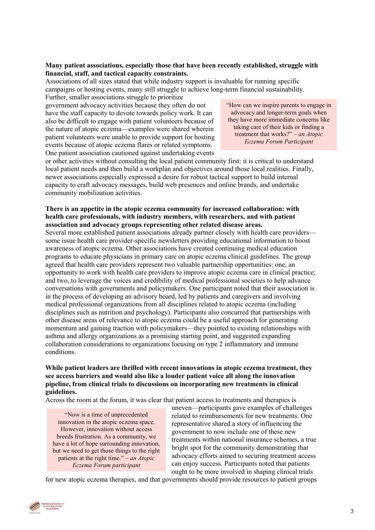#### **Many patient associations, especially those that have been recently established, struggle with financial, staff, and tactical capacity constraints.**

Associations of all sizes stated that while industry support is invaluable for running specific campaigns or hosting events, many still struggle to achieve long-term financial sustainability. Further, smaller associations struggle to prioritize

government advocacy activities because they often do not have the staff capacity to devote towards policy work. It can also be difficult to engage with patient volunteers because of the nature of atopic eczema—examples were shared wherein patient volunteers were unable to provide support for hosting events because of atopic eczema flares or related symptoms. One patient association cautioned against undertaking events

"How can we inspire parents to engage in advocacy and longer-term goals when they have more immediate concerns like taking care of their kids or finding a treatment that works?" – *an Atopic Eczema Forum Participant*

or other activities without consulting the local patient community first: it is critical to understand local patient needs and then build a workplan and objectives around those local realities. Finally, newer associations especially expressed a desire for robust tactical support to build internal capacity to craft advocacy messages, build web presences and online brands, and undertake community mobilization activities.

#### **There is an appetite in the atopic eczema community for increased collaboration: with health care professionals, with industry members, with researchers, and with patient association and advocacy groups representing other related disease areas.**

Several more established patient associations already partner closely with health care providers some issue health care provider-specific newsletters providing educational information to boost awareness of atopic eczema. Other associations have created continuing medical education programs to educate physicians in primary care on atopic eczema clinical guidelines. The group agreed that health care providers represent two valuable partnership opportunities: one, an opportunity to work with health care providers to improve atopic eczema care in clinical practice; and two, to leverage the voices and credibility of medical professional societies to help advance conversations with governments and policymakers. One participant noted that their association is in the process of developing an advisory board, led by patients and caregivers and involving medical professional organizations from all disciplines related to atopic eczema (including disciplines such as nutrition and psychology). Participants also concurred that partnerships with other disease areas of relevance to atopic eczema could be a useful approach for generating momentum and gaining traction with policymakers—they pointed to existing relationships with asthma and allergy organizations as a promising starting point, and suggested expanding collaboration considerations to organizations focusing on type 2 inflammatory and immune conditions.

#### **While patient leaders are thrilled with recent innovations in atopic eczema treatment, they see access barriers and would also like a louder patient voice all along the innovation pipeline, from clinical trials to discussions on incorporating new treatments in clinical guidelines.**

Across the room at the forum, it was clear that patient access to treatments and therapies is

"Now is a time of unprecedented innovation in the atopic eczema space. However, innovation without access breeds frustration. As a community, we have a lot of hope surrounding innovation, but we need to get those things to the right patients at the right time." *– an Atopic Eczema Forum participant*

uneven—participants gave examples of challenges related to reimbursements for new treatments. One representative shared a story of influencing the government to now include one of these new treatments within national insurance schemes, a true bright spot for the community demonstrating that advocacy efforts aimed to securing treatment access can enjoy success. Participants noted that patients ought to be more involved in shaping clinical trials

for new atopic eczema therapies, and that governments should provide resources to patient groups

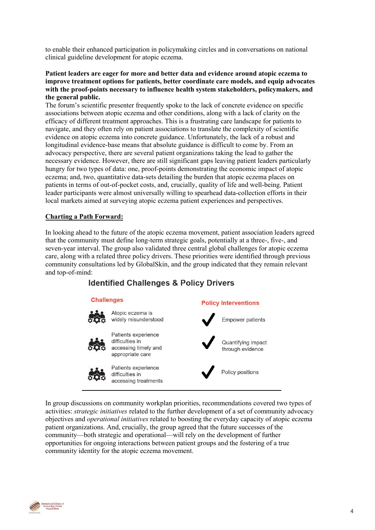to enable their enhanced participation in policymaking circles and in conversations on national clinical guideline development for atopic eczema.

#### **Patient leaders are eager for more and better data and evidence around atopic eczema to improve treatment options for patients, better coordinate care models, and equip advocates with the proof-points necessary to influence health system stakeholders, policymakers, and the general public.**

The forum's scientific presenter frequently spoke to the lack of concrete evidence on specific associations between atopic eczema and other conditions, along with a lack of clarity on the efficacy of different treatment approaches. This is a frustrating care landscape for patients to navigate, and they often rely on patient associations to translate the complexity of scientific evidence on atopic eczema into concrete guidance. Unfortunately, the lack of a robust and longitudinal evidence-base means that absolute guidance is difficult to come by. From an advocacy perspective, there are several patient organizations taking the lead to gather the necessary evidence. However, there are still significant gaps leaving patient leaders particularly hungry for two types of data: one, proof-points demonstrating the economic impact of atopic eczema; and, two, quantitative data-sets detailing the burden that atopic eczema places on patients in terms of out-of-pocket costs, and, crucially, quality of life and well-being. Patient leader participants were almost universally willing to spearhead data-collection efforts in their local markets aimed at surveying atopic eczema patient experiences and perspectives.

#### **Charting a Path Forward:**

In looking ahead to the future of the atopic eczema movement, patient association leaders agreed that the community must define long-term strategic goals, potentially at a three-, five-, and seven-year interval. The group also validated three central global challenges for atopic eczema care, along with a related three policy drivers. These priorities were identified through previous community consultations led by GlobalSkin, and the group indicated that they remain relevant and top-of-mind:

### **Identified Challenges & Policy Drivers**



In group discussions on community workplan priorities, recommendations covered two types of activities: *strategic initiatives* related to the further development of a set of community advocacy objectives and *operational initiatives* related to boosting the everyday capacity of atopic eczema patient organizations. And, crucially, the group agreed that the future successes of the community—both strategic and operational—will rely on the development of further opportunities for ongoing interactions between patient groups and the fostering of a true community identity for the atopic eczema movement.

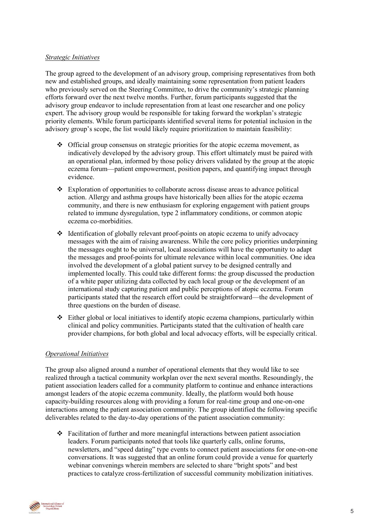#### *Strategic Initiatives*

The group agreed to the development of an advisory group, comprising representatives from both new and established groups, and ideally maintaining some representation from patient leaders who previously served on the Steering Committee, to drive the community's strategic planning efforts forward over the next twelve months. Further, forum participants suggested that the advisory group endeavor to include representation from at least one researcher and one policy expert. The advisory group would be responsible for taking forward the workplan's strategic priority elements. While forum participants identified several items for potential inclusion in the advisory group's scope, the list would likely require prioritization to maintain feasibility:

- ❖ Official group consensus on strategic priorities for the atopic eczema movement, as indicatively developed by the advisory group. This effort ultimately must be paired with an operational plan, informed by those policy drivers validated by the group at the atopic eczema forum—patient empowerment, position papers, and quantifying impact through evidence.
- ❖ Exploration of opportunities to collaborate across disease areas to advance political action. Allergy and asthma groups have historically been allies for the atopic eczema community, and there is new enthusiasm for exploring engagement with patient groups related to immune dysregulation, type 2 inflammatory conditions, or common atopic eczema co-morbidities.
- ❖ Identification of globally relevant proof-points on atopic eczema to unify advocacy messages with the aim of raising awareness. While the core policy priorities underpinning the messages ought to be universal, local associations will have the opportunity to adapt the messages and proof-points for ultimate relevance within local communities. One idea involved the development of a global patient survey to be designed centrally and implemented locally. This could take different forms: the group discussed the production of a white paper utilizing data collected by each local group or the development of an international study capturing patient and public perceptions of atopic eczema. Forum participants stated that the research effort could be straightforward—the development of three questions on the burden of disease.
- ❖ Either global or local initiatives to identify atopic eczema champions, particularly within clinical and policy communities. Participants stated that the cultivation of health care provider champions, for both global and local advocacy efforts, will be especially critical.

#### *Operational Initiatives*

The group also aligned around a number of operational elements that they would like to see realized through a tactical community workplan over the next several months. Resoundingly, the patient association leaders called for a community platform to continue and enhance interactions amongst leaders of the atopic eczema community. Ideally, the platform would both house capacity-building resources along with providing a forum for real-time group and one-on-one interactions among the patient association community. The group identified the following specific deliverables related to the day-to-day operations of the patient association community:

❖ Facilitation of further and more meaningful interactions between patient association leaders. Forum participants noted that tools like quarterly calls, online forums, newsletters, and "speed dating" type events to connect patient associations for one-on-one conversations. It was suggested that an online forum could provide a venue for quarterly webinar convenings wherein members are selected to share "bright spots" and best practices to catalyze cross-fertilization of successful community mobilization initiatives.

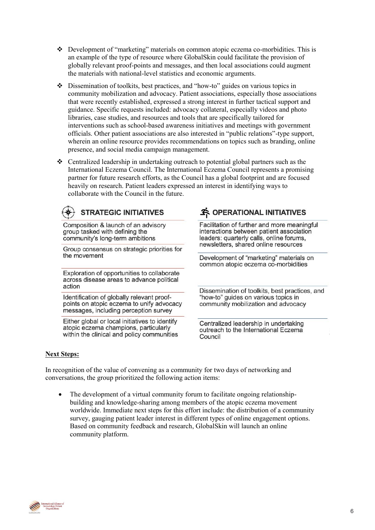- ❖ Development of "marketing" materials on common atopic eczema co-morbidities. This is an example of the type of resource where GlobalSkin could facilitate the provision of globally relevant proof-points and messages, and then local associations could augment the materials with national-level statistics and economic arguments.
- ❖ Dissemination of toolkits, best practices, and "how-to" guides on various topics in community mobilization and advocacy. Patient associations, especially those associations that were recently established, expressed a strong interest in further tactical support and guidance. Specific requests included: advocacy collateral, especially videos and photo libraries, case studies, and resources and tools that are specifically tailored for interventions such as school-based awareness initiatives and meetings with government officials. Other patient associations are also interested in "public relations"-type support, wherein an online resource provides recommendations on topics such as branding, online presence, and social media campaign management.
- ❖ Centralized leadership in undertaking outreach to potential global partners such as the International Eczema Council. The International Eczema Council represents a promising partner for future research efforts, as the Council has a global footprint and are focused heavily on research. Patient leaders expressed an interest in identifying ways to collaborate with the Council in the future.

## **STRATEGIC INITIATIVES**

Composition & launch of an advisory group tasked with defining the community's long-term ambitions

Group consensus on strategic priorities for the movement

Exploration of opportunities to collaborate across disease areas to advance political action

Identification of globally relevant proofpoints on atopic eczema to unify advocacy messages, including perception survey

Either global or local initiatives to identify atopic eczema champions, particularly within the clinical and policy communities

## **3** OPERATIONAL INITIATIVES

Facilitation of further and more meaningful interactions between patient association leaders: quarterly calls, online forums, newsletters, shared online resources

Development of "marketing" materials on common atopic eczema co-morbidities

Dissemination of toolkits, best practices, and "how-to" guides on various topics in community mobilization and advocacy

Centralized leadership in undertaking outreach to the International Eczema Council

#### **Next Steps:**

In recognition of the value of convening as a community for two days of networking and conversations, the group prioritized the following action items:

The development of a virtual community forum to facilitate ongoing relationshipbuilding and knowledge-sharing among members of the atopic eczema movement worldwide. Immediate next steps for this effort include: the distribution of a community survey, gauging patient leader interest in different types of online engagement options. Based on community feedback and research, GlobalSkin will launch an online community platform.



6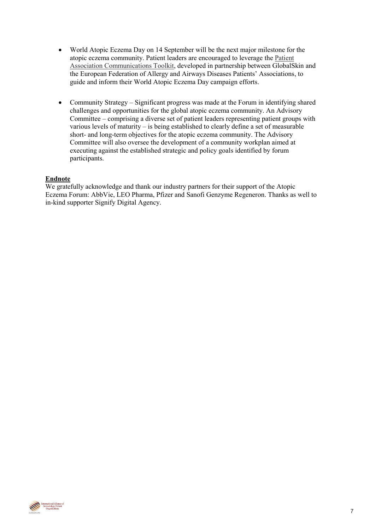- World Atopic Eczema Day on 14 September will be the next major milestone for the atopic eczema community. Patient leaders are encouraged to leverage the [Patient](https://globalskin.org/images/2019/06/20/Consolidated_Atopic_Eczema_Day_Communications_Toolkit_21_June_2019.pdf) [Association Communications Toolkit,](https://globalskin.org/images/2019/06/20/Consolidated_Atopic_Eczema_Day_Communications_Toolkit_21_June_2019.pdf) developed in partnership between GlobalSkin and the European Federation of Allergy and Airways Diseases Patients' Associations, to guide and inform their World Atopic Eczema Day campaign efforts.
- Community Strategy Significant progress was made at the Forum in identifying shared challenges and opportunities for the global atopic eczema community. An Advisory Committee – comprising a diverse set of patient leaders representing patient groups with various levels of maturity – is being established to clearly define a set of measurable short- and long-term objectives for the atopic eczema community. The Advisory Committee will also oversee the development of a community workplan aimed at executing against the established strategic and policy goals identified by forum participants.

#### **Endnote**

We gratefully acknowledge and thank our industry partners for their support of the Atopic Eczema Forum: AbbVie, LEO Pharma, Pfizer and Sanofi Genzyme Regeneron. Thanks as well to in-kind supporter Signify Digital Agency.